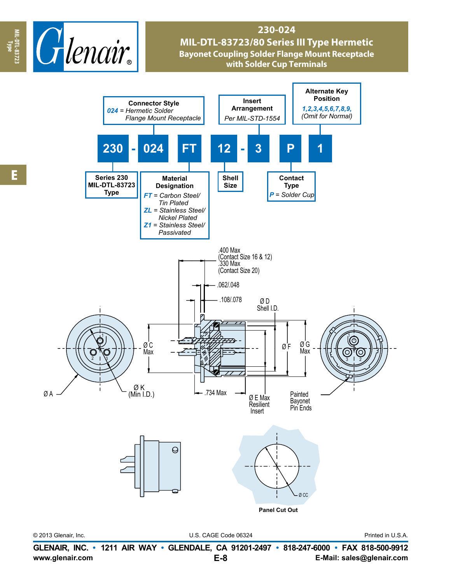

## **230-024 MIL-DTL-83723/80 Series III Type Hermetic Bayonet Coupling Solder Flange Mount Receptacle with Solder Cup Terminals**



© 2013 Glenair, Inc. U.S. CAGE Code 06324 Printed in U.S.A.

**www.glenair.com E-Mail: sales@glenair.com GLENAIR, INC. • 1211 AIR WAY • GLENDALE, CA 91201-2497 • 818-247-6000 • FAX 818-500-9912 E-8**